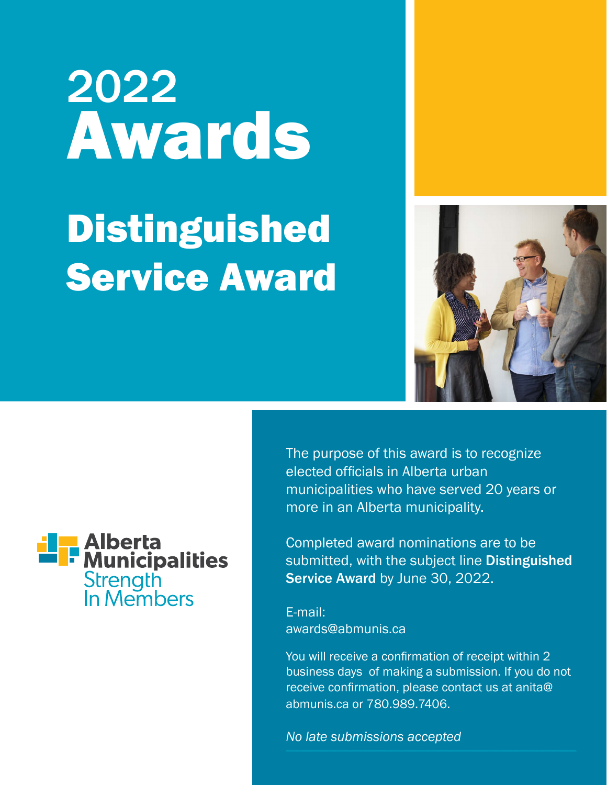## 2022 Awards Distinguished Service Award





The purpose of this award is to recognize elected officials in Alberta urban municipalities who have served 20 years or more in an Alberta municipality.

Completed award nominations are to be submitted, with the subject line Distinguished Service Award by June 30, 2022.

E-mail: awards@abmunis.ca

You will receive a confirmation of receipt within 2 business days of making a submission. If you do not receive confirmation, please contact us at anita@ abmunis.ca or 780.989.7406.

*No late submissions accepted*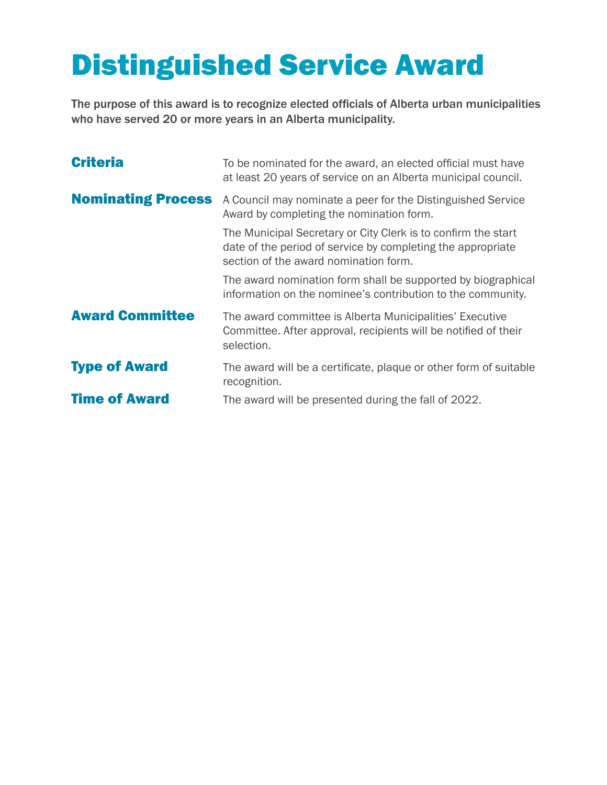## Distinguished Service Award

The purpose of this award is to recognize elected officials of Alberta urban municipalities who have served 20 or more years in an Alberta municipality.

| <b>Criteria</b>           | To be nominated for the award, an elected official must have<br>at least 20 years of service on an Alberta municipal council.                                         |
|---------------------------|-----------------------------------------------------------------------------------------------------------------------------------------------------------------------|
| <b>Nominating Process</b> | A Council may nominate a peer for the Distinguished Service<br>Award by completing the nomination form.                                                               |
|                           | The Municipal Secretary or City Clerk is to confirm the start<br>date of the period of service by completing the appropriate<br>section of the award nomination form. |
|                           | The award nomination form shall be supported by biographical<br>information on the nominee's contribution to the community.                                           |
| <b>Award Committee</b>    | The award committee is Alberta Municipalities' Executive<br>Committee. After approval, recipients will be notified of their<br>selection.                             |
| <b>Type of Award</b>      | The award will be a certificate, plaque or other form of suitable<br>recognition.                                                                                     |
| <b>Time of Award</b>      | The award will be presented during the fall of 2022.                                                                                                                  |